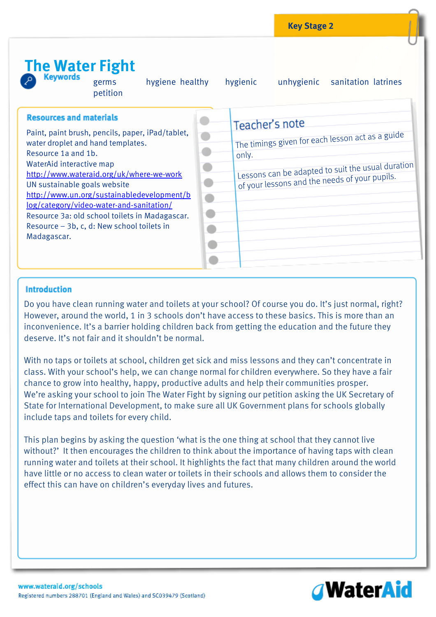

### **Introduction**

Do you have clean running water and toilets at your school? Of course you do. It's just normal, right? However, around the world, 1 in 3 schools don't have access to these basics. This is more than an inconvenience. It's a barrier holding children back from getting the education and the future they deserve. It's not fair and it shouldn't be normal.

With no taps or toilets at school, children get sick and miss lessons and they can't concentrate in class. With your school's help, we can change normal for children everywhere. So they have a fair chance to grow into healthy, happy, productive adults and help their communities prosper. We're asking your school to join The Water Fight by signing our petition asking the UK Secretary of State for International Development, to make sure all UK Government plans for schools globally include taps and toilets for every child.

This plan begins by asking the question 'what is the one thing at school that they cannot live without?' It then encourages the children to think about the importance of having taps with clean running water and toilets at their school. It highlights the fact that many children around the world have little or no access to clean water or toilets in their schools and allows them to consider the effect this can have on children's everyday lives and futures.

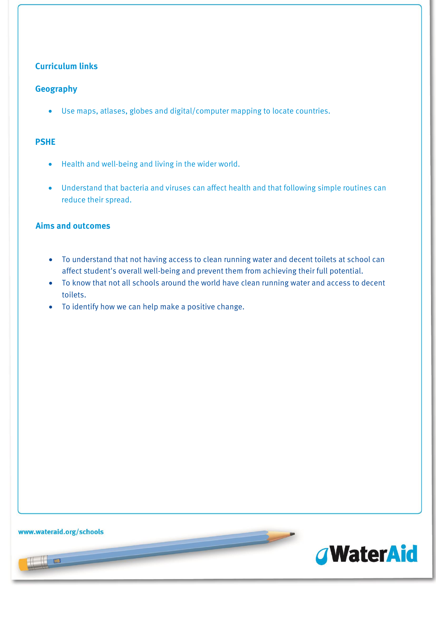### **Curriculum links**

#### **Geography**

Use maps, atlases, globes and digital/computer mapping to locate countries.

#### **PSHE**

- Health and well-being and living in the wider world.
- Understand that bacteria and viruses can affect health and that following simple routines can reduce their spread.

#### **Aims and outcomes**

- To understand that not having access to clean running water and decent toilets at school can affect student's overall well-being and prevent them from achieving their full potential.
- To know that not all schools around the world have clean running water and access to decent toilets.
- To identify how we can help make a positive change.

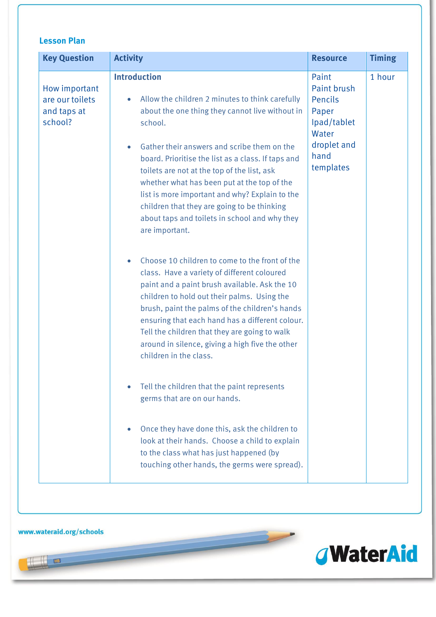| <b>Key Question</b>                                        | <b>Activity</b>                                                                                                                                                                                                                                                                                                                                                                                                                                                                                                                       | <b>Resource</b>                                                                                      | <b>Timing</b> |
|------------------------------------------------------------|---------------------------------------------------------------------------------------------------------------------------------------------------------------------------------------------------------------------------------------------------------------------------------------------------------------------------------------------------------------------------------------------------------------------------------------------------------------------------------------------------------------------------------------|------------------------------------------------------------------------------------------------------|---------------|
| How important<br>are our toilets<br>and taps at<br>school? | <b>Introduction</b><br>Allow the children 2 minutes to think carefully<br>$\bullet$<br>about the one thing they cannot live without in<br>school.<br>Gather their answers and scribe them on the<br>$\bullet$<br>board. Prioritise the list as a class. If taps and<br>toilets are not at the top of the list, ask<br>whether what has been put at the top of the<br>list is more important and why? Explain to the<br>children that they are going to be thinking<br>about taps and toilets in school and why they<br>are important. | Paint<br>Paint brush<br>Pencils<br>Paper<br>Ipad/tablet<br>Water<br>droplet and<br>hand<br>templates | 1 hour        |
|                                                            | Choose 10 children to come to the front of the<br>$\bullet$<br>class. Have a variety of different coloured<br>paint and a paint brush available. Ask the 10<br>children to hold out their palms. Using the<br>brush, paint the palms of the children's hands<br>ensuring that each hand has a different colour.<br>Tell the children that they are going to walk<br>around in silence, giving a high five the other<br>children in the class.                                                                                         |                                                                                                      |               |
|                                                            | Tell the children that the paint represents<br>germs that are on our hands.                                                                                                                                                                                                                                                                                                                                                                                                                                                           |                                                                                                      |               |
|                                                            | Once they have done this, ask the children to<br>look at their hands. Choose a child to explain<br>to the class what has just happened (by<br>touching other hands, the germs were spread).                                                                                                                                                                                                                                                                                                                                           |                                                                                                      |               |

 $\overline{\phantom{a}}$ 

www.wateraid.org/schools

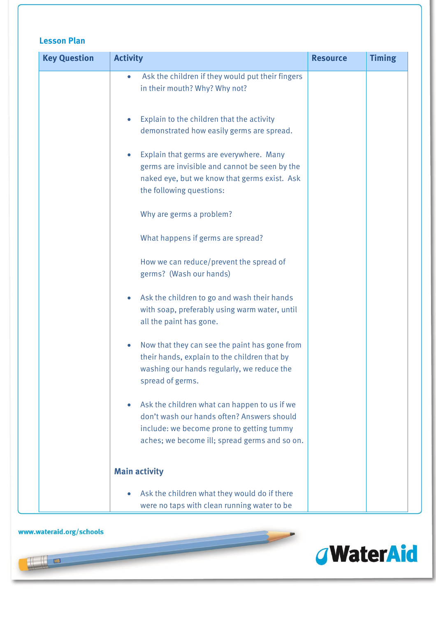| <b>Key Question</b> | <b>Activity</b>                                                                                                                                                                          | <b>Resource</b> | <b>Timing</b> |
|---------------------|------------------------------------------------------------------------------------------------------------------------------------------------------------------------------------------|-----------------|---------------|
|                     | Ask the children if they would put their fingers<br>$\bullet$<br>in their mouth? Why? Why not?                                                                                           |                 |               |
|                     | Explain to the children that the activity<br>demonstrated how easily germs are spread.                                                                                                   |                 |               |
|                     | Explain that germs are everywhere. Many<br>germs are invisible and cannot be seen by the<br>naked eye, but we know that germs exist. Ask<br>the following questions:                     |                 |               |
|                     | Why are germs a problem?                                                                                                                                                                 |                 |               |
|                     | What happens if germs are spread?                                                                                                                                                        |                 |               |
|                     | How we can reduce/prevent the spread of<br>germs? (Wash our hands)                                                                                                                       |                 |               |
|                     | Ask the children to go and wash their hands<br>with soap, preferably using warm water, until<br>all the paint has gone.                                                                  |                 |               |
|                     | Now that they can see the paint has gone from<br>their hands, explain to the children that by<br>washing our hands regularly, we reduce the<br>spread of germs.                          |                 |               |
|                     | Ask the children what can happen to us if we<br>don't wash our hands often? Answers should<br>include: we become prone to getting tummy<br>aches; we become ill; spread germs and so on. |                 |               |
|                     | <b>Main activity</b>                                                                                                                                                                     |                 |               |
|                     | Ask the children what they would do if there<br>were no taps with clean running water to be                                                                                              |                 |               |

www.wateraid.org/schools

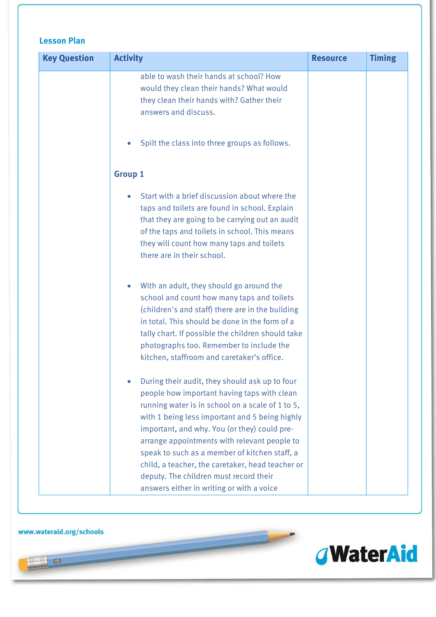| <b>Key Question</b> | <b>Activity</b>                                                                                                                                                                                                                                                                                                                                                                                                                                                                                 | <b>Resource</b> | <b>Timing</b> |
|---------------------|-------------------------------------------------------------------------------------------------------------------------------------------------------------------------------------------------------------------------------------------------------------------------------------------------------------------------------------------------------------------------------------------------------------------------------------------------------------------------------------------------|-----------------|---------------|
|                     | able to wash their hands at school? How<br>would they clean their hands? What would<br>they clean their hands with? Gather their<br>answers and discuss.                                                                                                                                                                                                                                                                                                                                        |                 |               |
|                     | Spilt the class into three groups as follows.                                                                                                                                                                                                                                                                                                                                                                                                                                                   |                 |               |
|                     | <b>Group 1</b>                                                                                                                                                                                                                                                                                                                                                                                                                                                                                  |                 |               |
|                     | Start with a brief discussion about where the<br>taps and toilets are found in school. Explain<br>that they are going to be carrying out an audit<br>of the taps and toilets in school. This means<br>they will count how many taps and toilets<br>there are in their school.                                                                                                                                                                                                                   |                 |               |
|                     | With an adult, they should go around the<br>school and count how many taps and toilets<br>(children's and staff) there are in the building<br>in total. This should be done in the form of a<br>tally chart. If possible the children should take<br>photographs too. Remember to include the<br>kitchen, staffroom and caretaker's office.                                                                                                                                                     |                 |               |
|                     | During their audit, they should ask up to four<br>people how important having taps with clean<br>running water is in school on a scale of 1 to 5,<br>with 1 being less important and 5 being highly<br>important, and why. You (or they) could pre-<br>arrange appointments with relevant people to<br>speak to such as a member of kitchen staff, a<br>child, a teacher, the caretaker, head teacher or<br>deputy. The children must record their<br>answers either in writing or with a voice |                 |               |

 $\overline{\phantom{a}}$ 

www.wateraid.org/schools

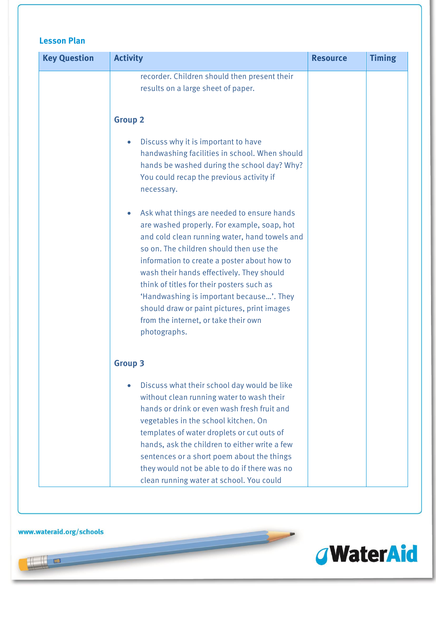| <b>Key Question</b> | <b>Activity</b>                                                                                                                                                                                                                                                                                                                                                                                                                                                                   | <b>Resource</b> | <b>Timing</b> |
|---------------------|-----------------------------------------------------------------------------------------------------------------------------------------------------------------------------------------------------------------------------------------------------------------------------------------------------------------------------------------------------------------------------------------------------------------------------------------------------------------------------------|-----------------|---------------|
|                     | recorder. Children should then present their<br>results on a large sheet of paper.                                                                                                                                                                                                                                                                                                                                                                                                |                 |               |
|                     | <b>Group 2</b>                                                                                                                                                                                                                                                                                                                                                                                                                                                                    |                 |               |
|                     | Discuss why it is important to have<br>handwashing facilities in school. When should<br>hands be washed during the school day? Why?<br>You could recap the previous activity if<br>necessary.                                                                                                                                                                                                                                                                                     |                 |               |
|                     | Ask what things are needed to ensure hands<br>are washed properly. For example, soap, hot<br>and cold clean running water, hand towels and<br>so on. The children should then use the<br>information to create a poster about how to<br>wash their hands effectively. They should<br>think of titles for their posters such as<br>'Handwashing is important because'. They<br>should draw or paint pictures, print images<br>from the internet, or take their own<br>photographs. |                 |               |
|                     | <b>Group 3</b>                                                                                                                                                                                                                                                                                                                                                                                                                                                                    |                 |               |
|                     | Discuss what their school day would be like<br>without clean running water to wash their<br>hands or drink or even wash fresh fruit and<br>vegetables in the school kitchen. On<br>templates of water droplets or cut outs of<br>hands, ask the children to either write a few<br>sentences or a short poem about the things<br>they would not be able to do if there was no<br>clean running water at school. You could                                                          |                 |               |

 $\overline{\phantom{a}}$ 

www.wateraid.org/schools

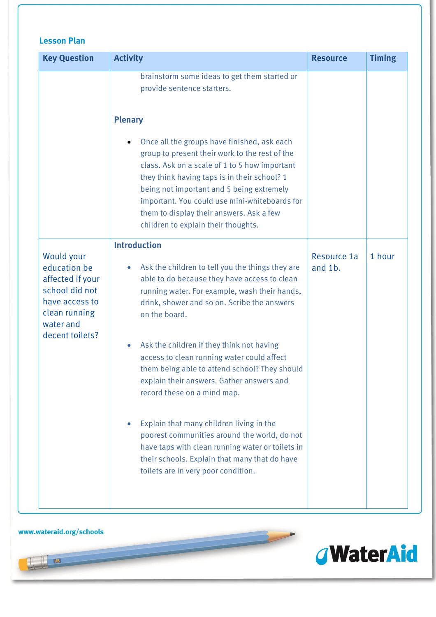| <b>Key Question</b>                                                                                                                 | <b>Activity</b>                                                                                                                                                                                                                                                                                                                                                                                                                                                                                                                                                                        | <b>Resource</b>        | <b>Timing</b> |
|-------------------------------------------------------------------------------------------------------------------------------------|----------------------------------------------------------------------------------------------------------------------------------------------------------------------------------------------------------------------------------------------------------------------------------------------------------------------------------------------------------------------------------------------------------------------------------------------------------------------------------------------------------------------------------------------------------------------------------------|------------------------|---------------|
|                                                                                                                                     | brainstorm some ideas to get them started or<br>provide sentence starters.<br><b>Plenary</b><br>Once all the groups have finished, ask each<br>group to present their work to the rest of the<br>class. Ask on a scale of 1 to 5 how important<br>they think having taps is in their school? 1<br>being not important and 5 being extremely<br>important. You could use mini-whiteboards for<br>them to display their answers. Ask a few<br>children to explain their thoughts.                                                                                                        |                        |               |
| Would your<br>education be<br>affected if your<br>school did not<br>have access to<br>clean running<br>water and<br>decent toilets? | <b>Introduction</b><br>Ask the children to tell you the things they are<br>$\bullet$<br>able to do because they have access to clean<br>running water. For example, wash their hands,<br>drink, shower and so on. Scribe the answers<br>on the board.<br>Ask the children if they think not having<br>$\bullet$<br>access to clean running water could affect<br>them being able to attend school? They should<br>explain their answers. Gather answers and<br>record these on a mind map.<br>Explain that many children living in the<br>poorest communities around the world, do not | Resource 1a<br>and 1b. | 1 hour        |
|                                                                                                                                     | have taps with clean running water or toilets in<br>their schools. Explain that many that do have<br>toilets are in very poor condition.                                                                                                                                                                                                                                                                                                                                                                                                                                               |                        |               |

 $\overline{\phantom{a}}$ 

### www.wateraid.org/schools

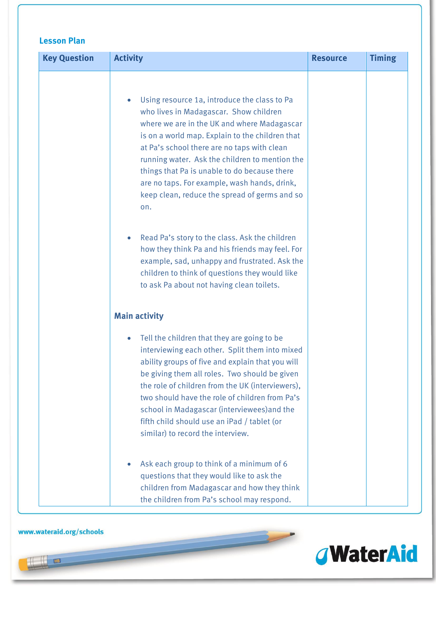| <b>Key Question</b> | <b>Activity</b>                                                                                                                                                                                                                                                                                                                                                                                                                                                | <b>Resource</b> | <b>Timing</b> |
|---------------------|----------------------------------------------------------------------------------------------------------------------------------------------------------------------------------------------------------------------------------------------------------------------------------------------------------------------------------------------------------------------------------------------------------------------------------------------------------------|-----------------|---------------|
|                     | Using resource 1a, introduce the class to Pa<br>$\bullet$<br>who lives in Madagascar. Show children<br>where we are in the UK and where Madagascar<br>is on a world map. Explain to the children that<br>at Pa's school there are no taps with clean<br>running water. Ask the children to mention the<br>things that Pa is unable to do because there<br>are no taps. For example, wash hands, drink,<br>keep clean, reduce the spread of germs and so<br>on. |                 |               |
|                     | Read Pa's story to the class. Ask the children<br>$\bullet$<br>how they think Pa and his friends may feel. For<br>example, sad, unhappy and frustrated. Ask the<br>children to think of questions they would like<br>to ask Pa about not having clean toilets.                                                                                                                                                                                                 |                 |               |
|                     | <b>Main activity</b>                                                                                                                                                                                                                                                                                                                                                                                                                                           |                 |               |
|                     | Tell the children that they are going to be<br>$\bullet$<br>interviewing each other. Split them into mixed<br>ability groups of five and explain that you will<br>be giving them all roles. Two should be given<br>the role of children from the UK (interviewers),<br>two should have the role of children from Pa's<br>school in Madagascar (interviewees) and the<br>fifth child should use an iPad / tablet (or<br>similar) to record the interview.       |                 |               |
|                     | Ask each group to think of a minimum of 6<br>$\bullet$<br>questions that they would like to ask the<br>children from Madagascar and how they think<br>the children from Pa's school may respond.                                                                                                                                                                                                                                                               |                 |               |

 $\overline{\phantom{a}}$ 

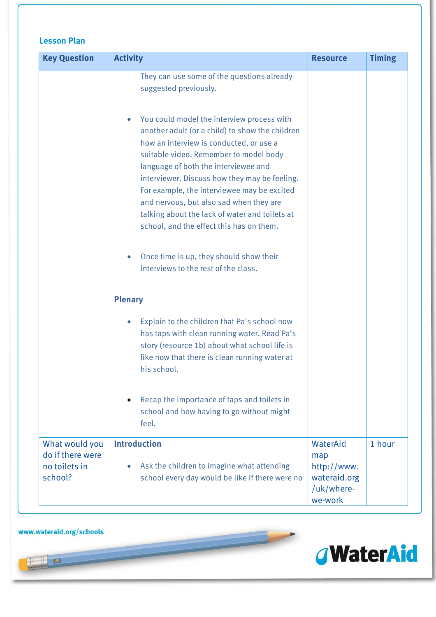| <b>Key Question</b>                                            | <b>Activity</b>                                                                                                                                                                                                                                                                                                                                                                                                                                                                  | <b>Resource</b>                                                         | <b>Timing</b> |
|----------------------------------------------------------------|----------------------------------------------------------------------------------------------------------------------------------------------------------------------------------------------------------------------------------------------------------------------------------------------------------------------------------------------------------------------------------------------------------------------------------------------------------------------------------|-------------------------------------------------------------------------|---------------|
|                                                                | They can use some of the questions already<br>suggested previously.                                                                                                                                                                                                                                                                                                                                                                                                              |                                                                         |               |
|                                                                | You could model the interview process with<br>$\bullet$<br>another adult (or a child) to show the children<br>how an interview is conducted, or use a<br>suitable video. Remember to model body<br>language of both the interviewee and<br>interviewer. Discuss how they may be feeling.<br>For example, the interviewee may be excited<br>and nervous, but also sad when they are<br>talking about the lack of water and toilets at<br>school, and the effect this has on them. |                                                                         |               |
|                                                                | Once time is up, they should show their<br>$\bullet$<br>interviews to the rest of the class.                                                                                                                                                                                                                                                                                                                                                                                     |                                                                         |               |
|                                                                | <b>Plenary</b>                                                                                                                                                                                                                                                                                                                                                                                                                                                                   |                                                                         |               |
|                                                                | Explain to the children that Pa's school now<br>$\bullet$<br>has taps with clean running water. Read Pa's<br>story (resource 1b) about what school life is<br>like now that there is clean running water at<br>his school.                                                                                                                                                                                                                                                       |                                                                         |               |
|                                                                | Recap the importance of taps and toilets in<br>school and how having to go without might<br>feel.                                                                                                                                                                                                                                                                                                                                                                                |                                                                         |               |
| What would you<br>do if there were<br>no toilets in<br>school? | <b>Introduction</b><br>Ask the children to imagine what attending<br>$\bullet$<br>school every day would be like if there were no                                                                                                                                                                                                                                                                                                                                                | WaterAid<br>map<br>http://www.<br>wateraid.org<br>/uk/where-<br>we-work | 1 hour        |

 $\overline{\phantom{a}}$ 



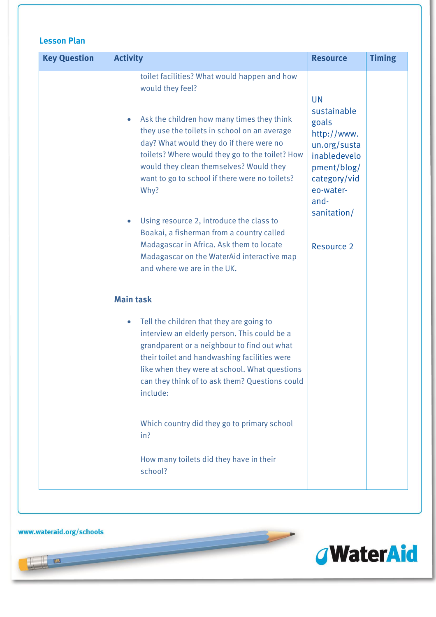| <b>Key Question</b> | <b>Activity</b>                                                                                                                                                                                                                                                                                                                                                                                                                                                                                                                                                                 | <b>Resource</b>                                                                                                                                                          | <b>Timing</b> |
|---------------------|---------------------------------------------------------------------------------------------------------------------------------------------------------------------------------------------------------------------------------------------------------------------------------------------------------------------------------------------------------------------------------------------------------------------------------------------------------------------------------------------------------------------------------------------------------------------------------|--------------------------------------------------------------------------------------------------------------------------------------------------------------------------|---------------|
|                     | toilet facilities? What would happen and how<br>would they feel?<br>Ask the children how many times they think<br>$\bullet$<br>they use the toilets in school on an average<br>day? What would they do if there were no<br>toilets? Where would they go to the toilet? How<br>would they clean themselves? Would they<br>want to go to school if there were no toilets?<br>Why?<br>Using resource 2, introduce the class to<br>$\bullet$<br>Boakai, a fisherman from a country called<br>Madagascar in Africa. Ask them to locate<br>Madagascar on the WaterAid interactive map | <b>UN</b><br>sustainable<br>goals<br>http://www.<br>un.org/susta<br>inabledevelo<br>pment/blog/<br>category/vid<br>eo-water-<br>and-<br>sanitation/<br><b>Resource 2</b> |               |
|                     | and where we are in the UK.<br><b>Main task</b>                                                                                                                                                                                                                                                                                                                                                                                                                                                                                                                                 |                                                                                                                                                                          |               |
|                     | Tell the children that they are going to<br>$\bullet$<br>interview an elderly person. This could be a<br>grandparent or a neighbour to find out what<br>their toilet and handwashing facilities were<br>like when they were at school. What questions<br>can they think of to ask them? Questions could<br>include:                                                                                                                                                                                                                                                             |                                                                                                                                                                          |               |
|                     | Which country did they go to primary school<br>in?                                                                                                                                                                                                                                                                                                                                                                                                                                                                                                                              |                                                                                                                                                                          |               |
|                     | How many toilets did they have in their<br>school?                                                                                                                                                                                                                                                                                                                                                                                                                                                                                                                              |                                                                                                                                                                          |               |

www.wateraid.org/schools

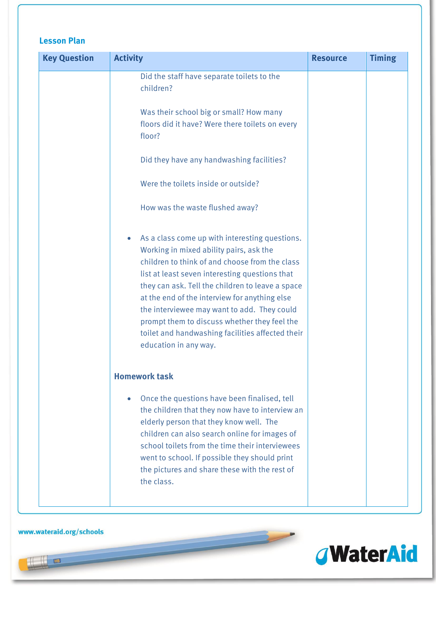| <b>Key Question</b> | <b>Activity</b>                                                                                                                                                                                                                                                                                                                                                                                                                                                                | <b>Resource</b> | <b>Timing</b> |
|---------------------|--------------------------------------------------------------------------------------------------------------------------------------------------------------------------------------------------------------------------------------------------------------------------------------------------------------------------------------------------------------------------------------------------------------------------------------------------------------------------------|-----------------|---------------|
|                     | Did the staff have separate toilets to the<br>children?                                                                                                                                                                                                                                                                                                                                                                                                                        |                 |               |
|                     | Was their school big or small? How many<br>floors did it have? Were there toilets on every<br>floor?                                                                                                                                                                                                                                                                                                                                                                           |                 |               |
|                     | Did they have any handwashing facilities?                                                                                                                                                                                                                                                                                                                                                                                                                                      |                 |               |
|                     | Were the toilets inside or outside?                                                                                                                                                                                                                                                                                                                                                                                                                                            |                 |               |
|                     | How was the waste flushed away?                                                                                                                                                                                                                                                                                                                                                                                                                                                |                 |               |
|                     | As a class come up with interesting questions.<br>Working in mixed ability pairs, ask the<br>children to think of and choose from the class<br>list at least seven interesting questions that<br>they can ask. Tell the children to leave a space<br>at the end of the interview for anything else<br>the interviewee may want to add. They could<br>prompt them to discuss whether they feel the<br>toilet and handwashing facilities affected their<br>education in any way. |                 |               |
|                     | <b>Homework task</b>                                                                                                                                                                                                                                                                                                                                                                                                                                                           |                 |               |
|                     | Once the questions have been finalised, tell<br>$\bullet$<br>the children that they now have to interview an<br>elderly person that they know well. The<br>children can also search online for images of<br>school toilets from the time their interviewees<br>went to school. If possible they should print<br>the pictures and share these with the rest of<br>the class.                                                                                                    |                 |               |

 $\overline{\phantom{a}}$ 

www.wateraid.org/schools

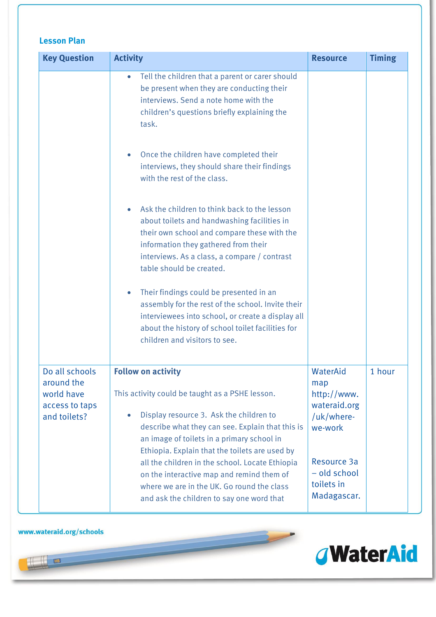| <b>Key Question</b>                                                          | <b>Activity</b>                                                                                                                                                                                                                                                                                                                | <b>Resource</b>                                                         | <b>Timing</b> |
|------------------------------------------------------------------------------|--------------------------------------------------------------------------------------------------------------------------------------------------------------------------------------------------------------------------------------------------------------------------------------------------------------------------------|-------------------------------------------------------------------------|---------------|
|                                                                              | Tell the children that a parent or carer should<br>$\bullet$<br>be present when they are conducting their<br>interviews. Send a note home with the<br>children's questions briefly explaining the<br>task.<br>Once the children have completed their<br>$\bullet$                                                              |                                                                         |               |
|                                                                              | interviews, they should share their findings<br>with the rest of the class.<br>Ask the children to think back to the lesson<br>$\bullet$<br>about toilets and handwashing facilities in<br>their own school and compare these with the<br>information they gathered from their<br>interviews. As a class, a compare / contrast |                                                                         |               |
|                                                                              | table should be created.<br>Their findings could be presented in an<br>$\bullet$<br>assembly for the rest of the school. Invite their<br>interviewees into school, or create a display all<br>about the history of school toilet facilities for<br>children and visitors to see.                                               |                                                                         |               |
| Do all schools<br>around the<br>world have<br>access to taps<br>and toilets? | <b>Follow on activity</b><br>This activity could be taught as a PSHE lesson.<br>Display resource 3. Ask the children to<br>$\bullet$<br>describe what they can see. Explain that this is<br>an image of toilets in a primary school in<br>Ethiopia. Explain that the toilets are used by                                       | WaterAid<br>map<br>http://www.<br>wateraid.org<br>/uk/where-<br>we-work | 1 hour        |
|                                                                              | all the children in the school. Locate Ethiopia<br>on the interactive map and remind them of<br>where we are in the UK. Go round the class<br>and ask the children to say one word that                                                                                                                                        | Resource 3a<br>- old school<br>toilets in<br>Madagascar.                |               |

 $\overline{\phantom{a}}$ 

www.wateraid.org/schools

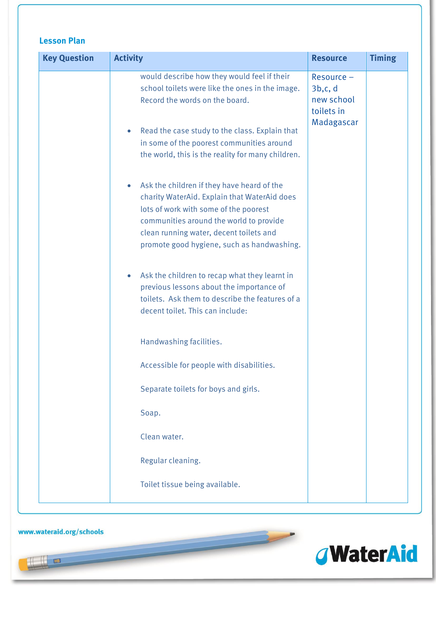| <b>Key Question</b> | <b>Activity</b>                                                                                                                                                                                                                                                                                   | <b>Resource</b>                                                | <b>Timing</b> |
|---------------------|---------------------------------------------------------------------------------------------------------------------------------------------------------------------------------------------------------------------------------------------------------------------------------------------------|----------------------------------------------------------------|---------------|
|                     | would describe how they would feel if their<br>school toilets were like the ones in the image.<br>Record the words on the board.<br>Read the case study to the class. Explain that<br>$\bullet$<br>in some of the poorest communities around<br>the world, this is the reality for many children. | Resource -<br>3b,c,d<br>new school<br>toilets in<br>Madagascar |               |
|                     | Ask the children if they have heard of the<br>$\bullet$<br>charity WaterAid. Explain that WaterAid does<br>lots of work with some of the poorest<br>communities around the world to provide<br>clean running water, decent toilets and<br>promote good hygiene, such as handwashing.              |                                                                |               |
|                     | Ask the children to recap what they learnt in<br>$\bullet$<br>previous lessons about the importance of<br>toilets. Ask them to describe the features of a<br>decent toilet. This can include:                                                                                                     |                                                                |               |
|                     | Handwashing facilities.                                                                                                                                                                                                                                                                           |                                                                |               |
|                     | Accessible for people with disabilities.                                                                                                                                                                                                                                                          |                                                                |               |
|                     | Separate toilets for boys and girls.                                                                                                                                                                                                                                                              |                                                                |               |
|                     | Soap.                                                                                                                                                                                                                                                                                             |                                                                |               |
|                     | Clean water.                                                                                                                                                                                                                                                                                      |                                                                |               |
|                     | Regular cleaning.                                                                                                                                                                                                                                                                                 |                                                                |               |
|                     | Toilet tissue being available.                                                                                                                                                                                                                                                                    |                                                                |               |

 $\overline{\phantom{a}}$ 

www.wateraid.org/schools

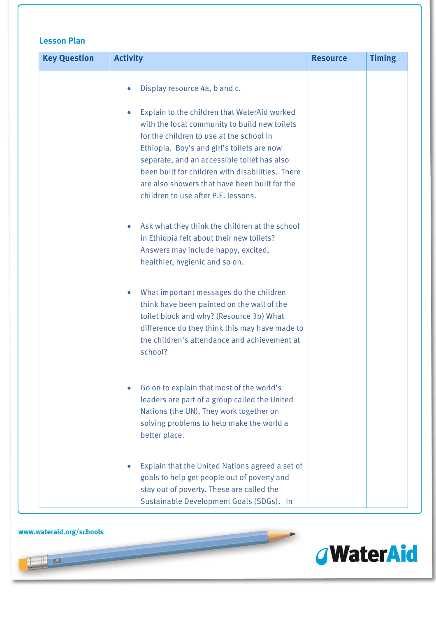| <b>Key Question</b> | <b>Activity</b>                                                                                                                                                                                                                                                                                                                                                                                                     | <b>Resource</b> | <b>Timing</b> |
|---------------------|---------------------------------------------------------------------------------------------------------------------------------------------------------------------------------------------------------------------------------------------------------------------------------------------------------------------------------------------------------------------------------------------------------------------|-----------------|---------------|
|                     | Display resource 4a, b and c.<br>Explain to the children that WaterAid worked<br>with the local community to build new toilets<br>for the children to use at the school in<br>Ethiopia. Boy's and girl's toilets are now<br>separate, and an accessible toilet has also<br>been built for children with disabilities. There<br>are also showers that have been built for the<br>children to use after P.E. lessons. |                 |               |
|                     | Ask what they think the children at the school<br>in Ethiopia felt about their new toilets?<br>Answers may include happy, excited,<br>healthier, hygienic and so on.                                                                                                                                                                                                                                                |                 |               |
|                     | What important messages do the children<br>think have been painted on the wall of the<br>toilet block and why? (Resource 3b) What<br>difference do they think this may have made to<br>the children's attendance and achievement at<br>school?                                                                                                                                                                      |                 |               |
|                     | Go on to explain that most of the world's<br>leaders are part of a group called the United<br>Nations (the UN). They work together on<br>solving problems to help make the world a<br>better place.                                                                                                                                                                                                                 |                 |               |
|                     | Explain that the United Nations agreed a set of<br>goals to help get people out of poverty and<br>stay out of poverty. These are called the<br>Sustainable Development Goals (SDGs). In                                                                                                                                                                                                                             |                 |               |

 $\overline{\phantom{a}}$ 

#### www.wateraid.org/schools

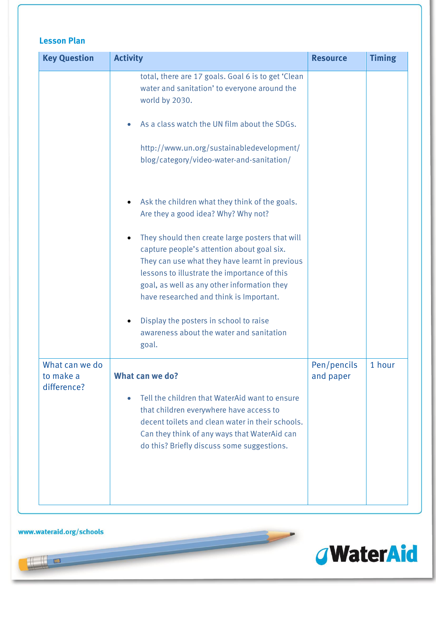| <b>Key Question</b>                        | <b>Activity</b>                                                                                                                                                                                                                                                                                        | <b>Resource</b>          | <b>Timing</b> |
|--------------------------------------------|--------------------------------------------------------------------------------------------------------------------------------------------------------------------------------------------------------------------------------------------------------------------------------------------------------|--------------------------|---------------|
|                                            | total, there are 17 goals. Goal 6 is to get 'Clean<br>water and sanitation' to everyone around the<br>world by 2030.                                                                                                                                                                                   |                          |               |
|                                            | As a class watch the UN film about the SDGs.                                                                                                                                                                                                                                                           |                          |               |
|                                            | http://www.un.org/sustainabledevelopment/<br>blog/category/video-water-and-sanitation/                                                                                                                                                                                                                 |                          |               |
|                                            | Ask the children what they think of the goals.<br>Are they a good idea? Why? Why not?                                                                                                                                                                                                                  |                          |               |
|                                            | They should then create large posters that will<br>$\bullet$<br>capture people's attention about goal six.<br>They can use what they have learnt in previous<br>lessons to illustrate the importance of this<br>goal, as well as any other information they<br>have researched and think is Important. |                          |               |
|                                            | Display the posters in school to raise<br>awareness about the water and sanitation<br>goal.                                                                                                                                                                                                            |                          |               |
| What can we do<br>to make a<br>difference? | What can we do?                                                                                                                                                                                                                                                                                        | Pen/pencils<br>and paper | 1 hour        |
|                                            | Tell the children that WaterAid want to ensure<br>$\bullet$<br>that children everywhere have access to<br>decent toilets and clean water in their schools.<br>Can they think of any ways that WaterAid can<br>do this? Briefly discuss some suggestions.                                               |                          |               |

 $\overline{\phantom{a}}$ 

#### www.wateraid.org/schools

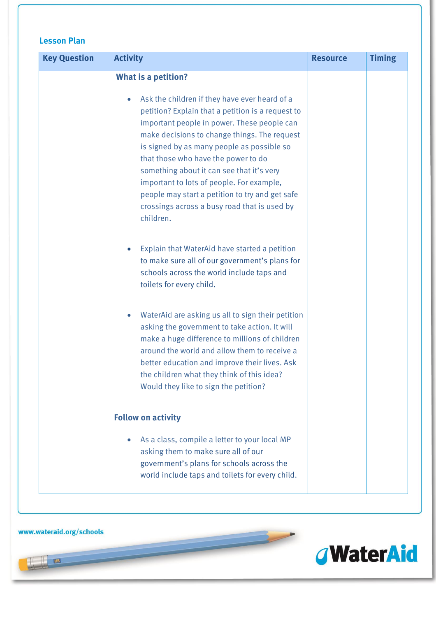| <b>Lesson Plan</b> |  |
|--------------------|--|
|--------------------|--|

| <b>Key Question</b> | <b>Activity</b>                                                                                                                                                                                                                                                                                                                                                                                                                                                                                  | <b>Resource</b> | <b>Timing</b> |
|---------------------|--------------------------------------------------------------------------------------------------------------------------------------------------------------------------------------------------------------------------------------------------------------------------------------------------------------------------------------------------------------------------------------------------------------------------------------------------------------------------------------------------|-----------------|---------------|
|                     | <b>What is a petition?</b>                                                                                                                                                                                                                                                                                                                                                                                                                                                                       |                 |               |
|                     | Ask the children if they have ever heard of a<br>petition? Explain that a petition is a request to<br>important people in power. These people can<br>make decisions to change things. The request<br>is signed by as many people as possible so<br>that those who have the power to do<br>something about it can see that it's very<br>important to lots of people. For example,<br>people may start a petition to try and get safe<br>crossings across a busy road that is used by<br>children. |                 |               |
|                     | Explain that WaterAid have started a petition<br>$\bullet$<br>to make sure all of our government's plans for<br>schools across the world include taps and<br>toilets for every child.                                                                                                                                                                                                                                                                                                            |                 |               |
|                     | WaterAid are asking us all to sign their petition<br>$\bullet$<br>asking the government to take action. It will<br>make a huge difference to millions of children<br>around the world and allow them to receive a<br>better education and improve their lives. Ask<br>the children what they think of this idea?<br>Would they like to sign the petition?                                                                                                                                        |                 |               |
|                     | <b>Follow on activity</b>                                                                                                                                                                                                                                                                                                                                                                                                                                                                        |                 |               |
|                     | As a class, compile a letter to your local MP<br>asking them to make sure all of our<br>government's plans for schools across the<br>world include taps and toilets for every child.                                                                                                                                                                                                                                                                                                             |                 |               |

 $\overline{\phantom{a}}$ 



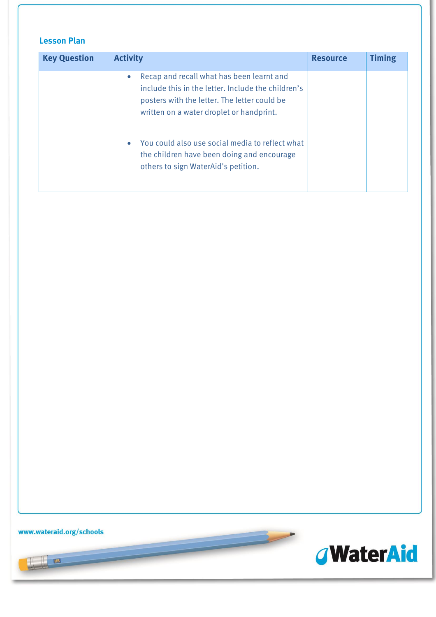| <b>Key Question</b> | <b>Activity</b>                                                                                                                                                                             | <b>Resource</b> | <b>Timing</b> |
|---------------------|---------------------------------------------------------------------------------------------------------------------------------------------------------------------------------------------|-----------------|---------------|
|                     | Recap and recall what has been learnt and<br>include this in the letter. Include the children's<br>posters with the letter. The letter could be<br>written on a water droplet or handprint. |                 |               |
|                     | You could also use social media to reflect what<br>the children have been doing and encourage<br>others to sign WaterAid's petition.                                                        |                 |               |

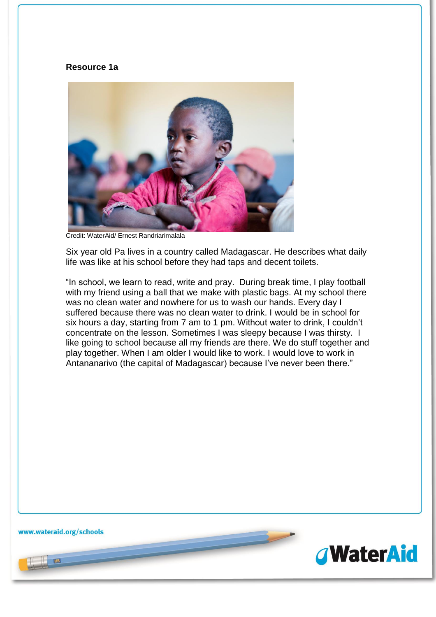#### **Resource 1a**



Credit: WaterAid/ Ernest Randriarimalala

Six year old Pa lives in a country called Madagascar. He describes what daily life was like at his school before they had taps and decent toilets.

"In school, we learn to read, write and pray. During break time, I play football with my friend using a ball that we make with plastic bags. At my school there was no clean water and nowhere for us to wash our hands. Every day I suffered because there was no clean water to drink. I would be in school for six hours a day, starting from 7 am to 1 pm. Without water to drink, I couldn't concentrate on the lesson. Sometimes I was sleepy because I was thirsty. I like going to school because all my friends are there. We do stuff together and play together. When I am older I would like to work. I would love to work in Antananarivo (the capital of Madagascar) because I've never been there."

www.wateraid.org/schools

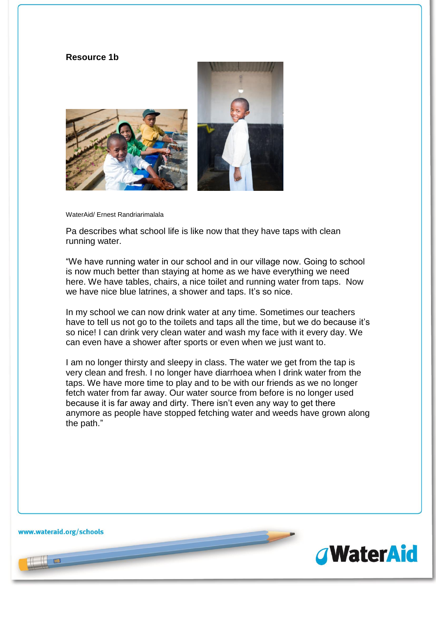#### **Resource 1b**



WaterAid/ Ernest Randriarimalala

Pa describes what school life is like now that they have taps with clean running water.

"We have running water in our school and in our village now. Going to school is now much better than staying at home as we have everything we need here. We have tables, chairs, a nice toilet and running water from taps. Now we have nice blue latrines, a shower and taps. It's so nice.

In my school we can now drink water at any time. Sometimes our teachers have to tell us not go to the toilets and taps all the time, but we do because it's so nice! I can drink very clean water and wash my face with it every day. We can even have a shower after sports or even when we just want to.

I am no longer thirsty and sleepy in class. The water we get from the tap is very clean and fresh. I no longer have diarrhoea when I drink water from the taps. We have more time to play and to be with our friends as we no longer fetch water from far away. Our water source from before is no longer used because it is far away and dirty. There isn't even any way to get there anymore as people have stopped fetching water and weeds have grown along the path."

www.wateraid.org/schools

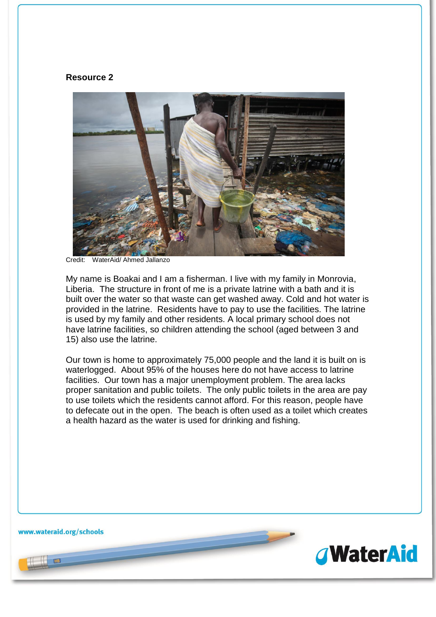#### **Resource 2**



Credit<sup>-</sup> WaterAid/ Ahmed Jallanzo

My name is Boakai and I am a fisherman. I live with my family in Monrovia, Liberia. The structure in front of me is a private latrine with a bath and it is built over the water so that waste can get washed away. Cold and hot water is provided in the latrine. Residents have to pay to use the facilities. The latrine is used by my family and other residents. A local primary school does not have latrine facilities, so children attending the school (aged between 3 and 15) also use the latrine.

Our town is home to approximately 75,000 people and the land it is built on is waterlogged. About 95% of the houses here do not have access to latrine facilities. Our town has a major unemployment problem. The area lacks proper sanitation and public toilets. The only public toilets in the area are pay to use toilets which the residents cannot afford. For this reason, people have to defecate out in the open. The beach is often used as a toilet which creates a health hazard as the water is used for drinking and fishing.

www.wateraid.org/schools

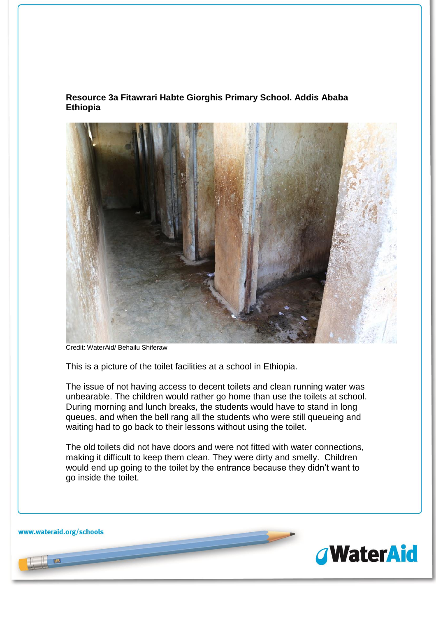#### **Resource 3a Fitawrari Habte Giorghis Primary School. Addis Ababa Ethiopia**



Credit: WaterAid/ Behailu Shiferaw

This is a picture of the toilet facilities at a school in Ethiopia.

The issue of not having access to decent toilets and clean running water was unbearable. The children would rather go home than use the toilets at school. During morning and lunch breaks, the students would have to stand in long queues, and when the bell rang all the students who were still queueing and waiting had to go back to their lessons without using the toilet.

The old toilets did not have doors and were not fitted with water connections, making it difficult to keep them clean. They were dirty and smelly. Children would end up going to the toilet by the entrance because they didn't want to go inside the toilet.

www.wateraid.org/schools

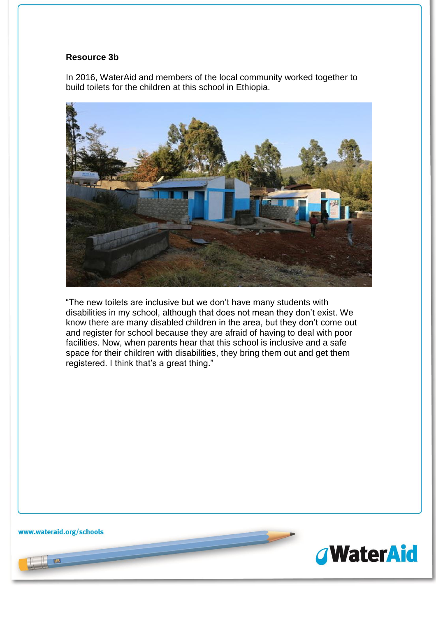#### **Resource 3b**

In 2016, WaterAid and members of the local community worked together to build toilets for the children at this school in Ethiopia.



"The new toilets are inclusive but we don't have many students with disabilities in my school, although that does not mean they don't exist. We know there are many disabled children in the area, but they don't come out and register for school because they are afraid of having to deal with poor facilities. Now, when parents hear that this school is inclusive and a safe space for their children with disabilities, they bring them out and get them registered. I think that's a great thing."

www.wateraid.org/schools

**RB** 

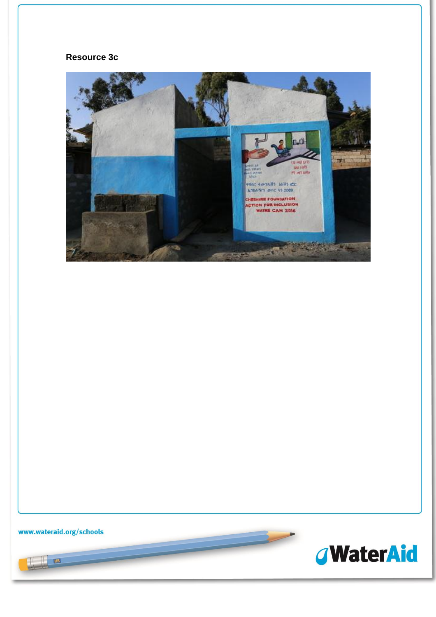#### **Resource 3c**